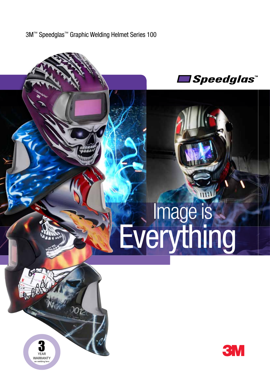

 $1111$ 

# **Everything** Image is



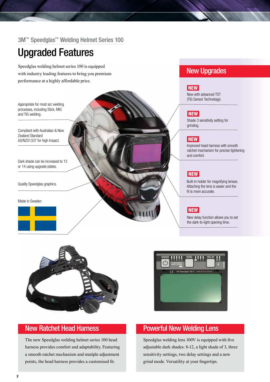3M™ Speedglas™ Welding Helmet Series 100

# Upgraded Features

Speedglas welding helmet series 100 is equipped with industry leading features to bring you premium performance at a highly affordable price.

Appropriate for most arc welding processes, including Stick, MIG and TIG welding.

Compliant with Australian & New Zealand Standard AS/NZS1337 for high impact.

Dark shade can be increased to 13 or 14 using upgrade plates.

Quality Speedglas graphics.

Made in Sweden



New Upgrades

### **NEW**

Now with advanced TST (TIG Sensor Technology).

#### NEW

Shade 3 sensitivity setting for grinding.

### **NEW**

Improved head harness with smooth ratchet mechanism for precise tightening and comfort.

#### NEW

Built-in holder for magnifying lenses. Attaching the lens is easier and the fit is more accurate.

### **NEW**

New delay function allows you to set the dark-to-light opening time.



The new Speedglas welding helmet series 100 head harness provides comfort and adaptability. Featuring a smooth ratchet mechanism and mutiple adjustment points, the head harness provides a customised fit.



## New Ratchet Head Harness **Powerful New Welding Lens**

Speedglas welding lens 100V is equipped with five adjustable dark shades: 8-12, a light shade of 3, three sensitivity settings, two delay settings and a new grind mode. Versatility at your fingertips.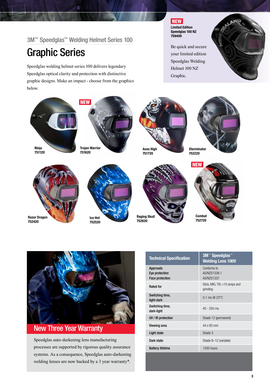# 3M™ Speedglas™ Welding Helmet Series 100

4g

# Graphic Series

Speedglas welding helmet series 100 delivers legendary Speedglas optical clarity and protection with distinctive graphic designs. Make an impact - choose from the graphics below.

**NEW** Limited Edition Speedglas 100 NZ 759409

Be quick and secure your limited edition Speedglas Welding Helmet 100 NZ Graphic.





# New Three Year Warranty

Speedglas auto-darkening lens manufacturing processes are supported by rigorous quality assurance systems. As a consequence, Speedglas auto-darkening welding lenses are now backed by a 3 year warranty\*.

| <b>Technical Specification</b>                               | 3M <sup>™</sup> Speedglas <sup>™</sup><br><b>Welding Lens 100V</b> |
|--------------------------------------------------------------|--------------------------------------------------------------------|
| <b>Approvals</b><br>Eye protection<br><b>Face protection</b> | Conforms to<br>AS/NZS1338.1<br>AS/NZS1337                          |
| <b>Rated for</b>                                             | Stick, MIG, $TIG > 10$ amps and<br>grinding                        |
| Switching time,<br>light-dark                                | $0.1 \text{ ms} \textcircled{2} 23^{\circ} \text{C}$               |
| Switching time,<br>dark-light                                | $40 - 250$ ms                                                      |
| UV / IR protection                                           | Shade 12 (permanent)                                               |
| <b>Viewing area</b>                                          | 44 x 93 mm                                                         |
| Light state                                                  | Shade 3                                                            |
| Dark state                                                   | Shade 8-12 (variable)                                              |
| <b>Battery lifetime</b>                                      | 1500 hours                                                         |